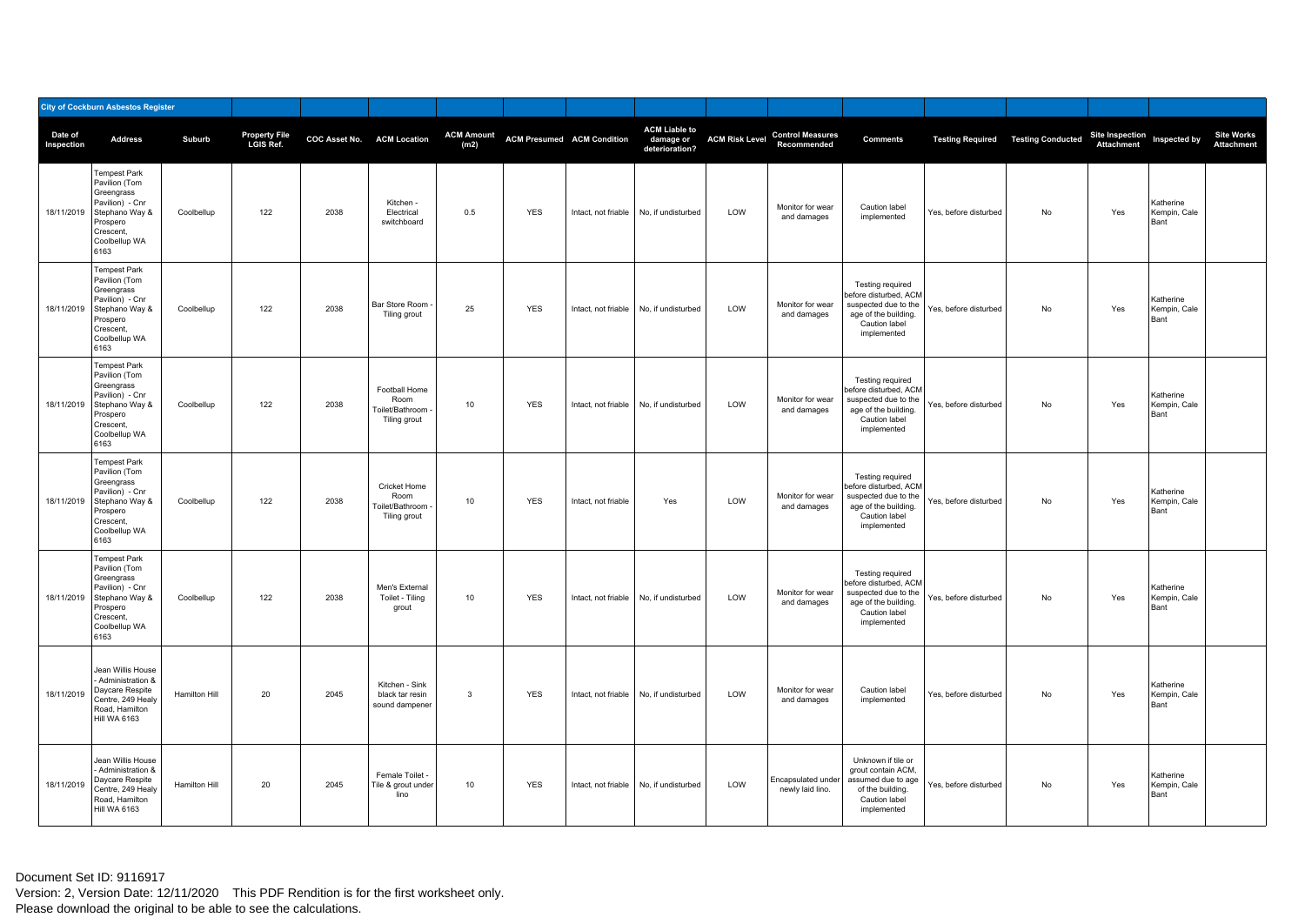|                       | <b>City of Cockburn Asbestos Register</b>                                                                                                            |               |                            |      |                                                          |                           |            |                                   |                                                     |                       |                                        |                                                                                                                           |                       |                                             |                                            |                                   |                                        |
|-----------------------|------------------------------------------------------------------------------------------------------------------------------------------------------|---------------|----------------------------|------|----------------------------------------------------------|---------------------------|------------|-----------------------------------|-----------------------------------------------------|-----------------------|----------------------------------------|---------------------------------------------------------------------------------------------------------------------------|-----------------------|---------------------------------------------|--------------------------------------------|-----------------------------------|----------------------------------------|
| Date of<br>Inspection | <b>Address</b>                                                                                                                                       | Suburb        | Property File<br>LGIS Ref. |      | COC Asset No. ACM Location                               | <b>ACM Amount</b><br>(m2) |            | <b>ACM Presumed ACM Condition</b> | <b>ACM Liable to</b><br>damage or<br>deterioration? | <b>ACM Risk Level</b> | <b>Control Measures</b><br>Recommended | <b>Comments</b>                                                                                                           |                       | <b>Testing Required   Testing Conducted</b> | Site Inspection<br>Attachment Inspected by |                                   | <b>Site Works</b><br><b>Attachment</b> |
|                       | <b>Tempest Park</b><br>Pavilion (Tom<br>Greengrass<br>Pavilion) - Cnr<br>18/11/2019 Stephano Way &<br>Prospero<br>Crescent,<br>Coolbellup WA<br>6163 | Coolbellup    | 122                        | 2038 | Kitchen -<br>Electrical<br>switchboard                   | 0.5                       | <b>YES</b> | Intact, not friable               | No, if undisturbed                                  | LOW                   | Monitor for wear<br>and damages        | Caution label<br>implemented                                                                                              | Yes, before disturbed | No                                          | Yes                                        | Katherine<br>Kempin, Cale<br>Bant |                                        |
|                       | Tempest Park<br>Pavilion (Tom<br>Greengrass<br>Pavilion) - Cnr<br>18/11/2019 Stephano Way &<br>Prospero<br>Crescent,<br>Coolbellup WA<br>6163        | Coolbellup    | 122                        | 2038 | <b>Bar Store Room</b><br>Tiling grout                    | 25                        | <b>YES</b> | Intact, not friable               | No. if undisturbed                                  | LOW                   | Monitor for wear<br>and damages        | Testing required<br>before disturbed, ACM<br>suspected due to the<br>age of the building.<br>Caution label<br>implemented | Yes, before disturbed | No                                          | Yes                                        | Katherine<br>Kempin, Cale<br>Bant |                                        |
|                       | Tempest Park<br>Pavilion (Tom<br>Greengrass<br>Pavilion) - Cnr<br>18/11/2019 Stephano Way &<br>Prospero<br>Crescent,<br>Coolbellup WA<br>6163        | Coolbellup    | 122                        | 2038 | Football Home<br>Room<br>Toilet/Bathroom<br>Tiling grout | $10\,$                    | <b>YES</b> | Intact, not friable               | No, if undisturbed                                  | LOW                   | Monitor for wear<br>and damages        | Testing required<br>before disturbed, ACM<br>suspected due to the<br>age of the building.<br>Caution label<br>implemented | Yes, before disturbed | No                                          | Yes                                        | Katherine<br>Kempin, Cale<br>Bant |                                        |
|                       | <b>Tempest Park</b><br>Pavilion (Tom<br>Greengrass<br>Pavilion) - Cnr<br>18/11/2019 Stephano Way &<br>Prospero<br>Crescent,<br>Coolbellup WA<br>6163 | Coolbellup    | 122                        | 2038 | Cricket Home<br>Room<br>Toilet/Bathroom<br>Tiling grout  | 10                        | <b>YES</b> | Intact, not friable               | Yes                                                 | LOW                   | Monitor for wear<br>and damages        | Testing required<br>before disturbed, ACM<br>suspected due to the<br>age of the building.<br>Caution label<br>implemented | Yes, before disturbed | No                                          | Yes                                        | Katherine<br>Kempin, Cale<br>Bant |                                        |
|                       | Tempest Park<br>Pavilion (Tom<br>Greengrass<br>Pavilion) - Cnr<br>18/11/2019 Stephano Way &<br>Prospero<br>Crescent,<br>Coolbellup WA<br>6163        | Coolbellup    | 122                        | 2038 | Men's External<br>Toilet - Tiling<br>grout               | 10                        | <b>YES</b> | Intact, not friable               | No, if undisturbed                                  | LOW                   | Monitor for wear<br>and damages        | Testing required<br>before disturbed, ACM<br>suspected due to the<br>age of the building.<br>Caution label<br>implemented | Yes, before disturbed | No                                          | Yes                                        | Katherine<br>Kempin, Cale<br>Bant |                                        |
| 18/11/2019            | Jean Willis House<br>Administration &<br>Daycare Respite<br>Centre, 249 Healy<br>Road, Hamilton<br>Hill WA 6163                                      | Hamilton Hill | 20                         | 2045 | Kitchen - Sink<br>black tar resin<br>sound dampener      | $\mathbf{3}$              | <b>YES</b> | Intact, not friable               | No, if undisturbed                                  | LOW                   | Monitor for wear<br>and damages        | Caution label<br>implemented                                                                                              | Yes, before disturbed | No                                          | Yes                                        | Katherine<br>Kempin, Cale<br>Bant |                                        |
| 18/11/2019            | Jean Willis House<br>Administration &<br>Daycare Respite<br>Centre, 249 Healy<br>Road, Hamilton<br>Hill WA 6163                                      | Hamilton Hill | 20                         | 2045 | Female Toilet<br>Tile & grout under<br>lino              | 10                        | <b>YES</b> | Intact, not friable               | No, if undisturbed                                  | LOW                   | Encapsulated under<br>newly laid lino. | Unknown if tile or<br>grout contain ACM,<br>assumed due to age<br>of the building.<br>Caution label<br>implemented        | Yes, before disturbed | No                                          | Yes                                        | Katherine<br>Kempin, Cale<br>Bant |                                        |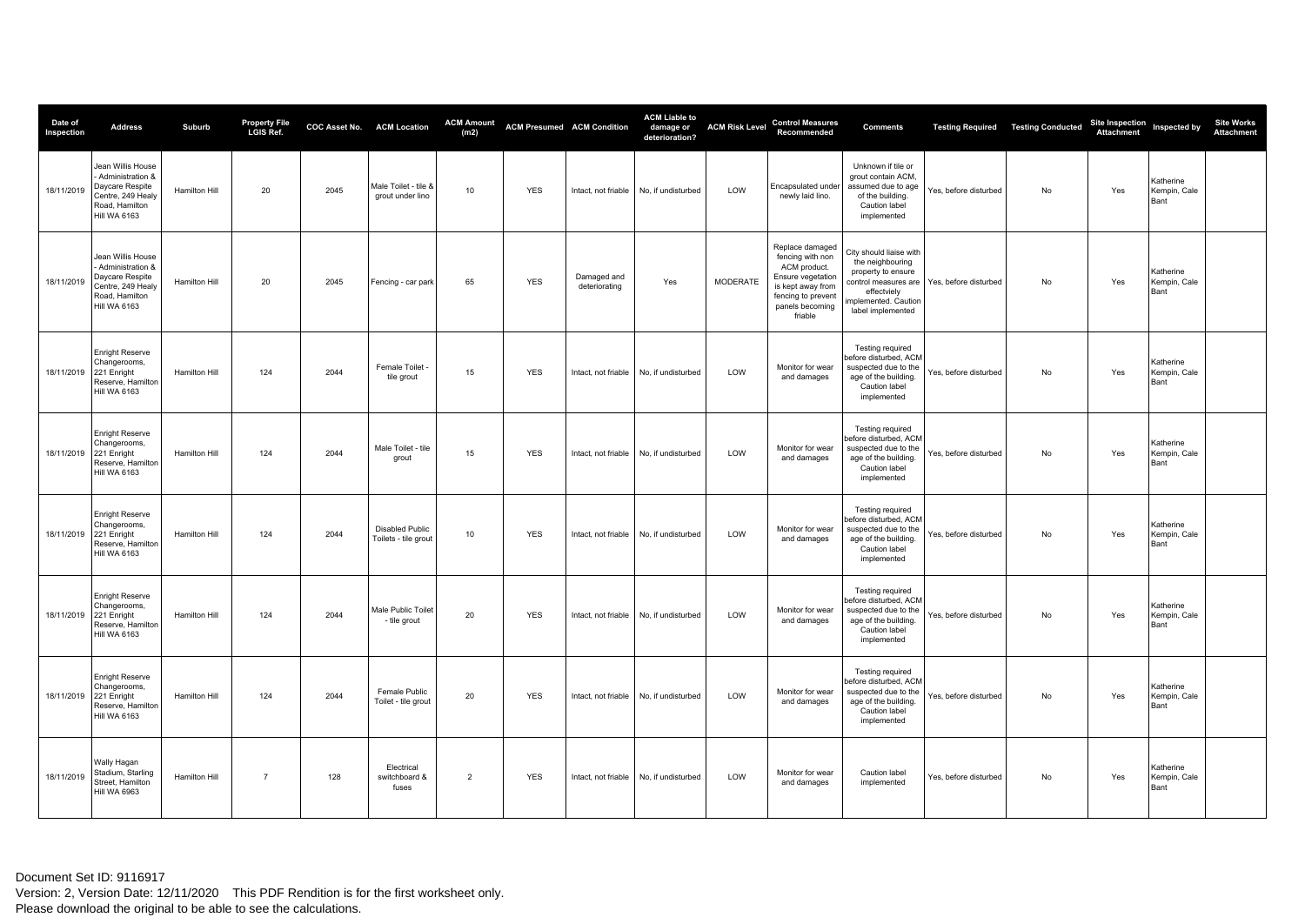| Date of<br>Inspection  | <b>Address</b>                                                                                                    | Suburb               | Property File<br>LGIS Ref. |      | <b>COC Asset No. ACM Location</b>              | <b>ACM Amount</b><br>(m2) |            | <b>ACM Presumed ACM Condition</b> | <b>ACM Liable to</b><br>damage or<br>deterioration? | <b>ACM Risk Level</b> | <b>Control Measures</b><br>Recommended                                                                                                            | <b>Comments</b>                                                                                                                 |                                              | <b>Testing Required   Testing Conducted</b> | Site Inspection<br>Attachment | Inspected by                      | <b>Site Works</b><br><b>Attachment</b> |
|------------------------|-------------------------------------------------------------------------------------------------------------------|----------------------|----------------------------|------|------------------------------------------------|---------------------------|------------|-----------------------------------|-----------------------------------------------------|-----------------------|---------------------------------------------------------------------------------------------------------------------------------------------------|---------------------------------------------------------------------------------------------------------------------------------|----------------------------------------------|---------------------------------------------|-------------------------------|-----------------------------------|----------------------------------------|
| 18/11/2019             | Jean Willis House<br>- Administration &<br>Daycare Respite<br>Centre, 249 Healy<br>Road, Hamilton<br>Hill WA 6163 | Hamilton Hill        | 20                         | 2045 | Male Toilet - tile &<br>grout under lino       | 10                        | <b>YES</b> | Intact, not friable               | No, if undisturbed                                  | LOW                   | Encapsulated under<br>newly laid lino.                                                                                                            | Unknown if tile or<br>grout contain ACM,<br>assumed due to age<br>of the building.<br>Caution label<br>implemented              | Yes, before disturbed                        | No                                          | Yes                           | Katherine<br>Kempin, Cale<br>Bant |                                        |
| 18/11/2019             | Jean Willis House<br>- Administration &<br>Daycare Respite<br>Centre, 249 Healy<br>Road, Hamilton<br>Hill WA 6163 | Hamilton Hill        | 20                         | 2045 | Fencing - car park                             | 65                        | <b>YES</b> | Damaged and<br>deteriorating      | Yes                                                 | <b>MODERATE</b>       | Replace damaged<br>fencing with non<br>ACM product.<br>Ensure vegetation<br>is kept away from<br>fencing to prevent<br>panels becoming<br>friable | City should liaise with<br>the neighbouring<br>property to ensure<br>effectviely<br>mplemented. Caution<br>label implemented    | control measures are   Yes, before disturbed | No                                          | Yes                           | Katherine<br>Kempin, Cale<br>Bant |                                        |
| 18/11/2019             | <b>Enright Reserve</b><br>Changerooms,<br>221 Enright<br>Reserve, Hamilton<br>Hill WA 6163                        | Hamilton Hill        | 124                        | 2044 | Female Toilet<br>tile grout                    | 15                        | <b>YES</b> | Intact, not friable               | No, if undisturbed                                  | LOW                   | Monitor for wear<br>and damages                                                                                                                   | <b>Testing required</b><br>efore disturbed, ACM<br>suspected due to the<br>age of the building.<br>Caution label<br>implemented | Yes, before disturbed                        | No                                          | Yes                           | Katherine<br>Kempin, Cale<br>Bant |                                        |
| 18/11/2019             | <b>Enright Reserve</b><br>Changerooms,<br>221 Enright<br>Reserve, Hamilton<br>Hill WA 6163                        | Hamilton Hill        | 124                        | 2044 | Male Toilet - tile<br>grout                    | 15                        | <b>YES</b> | Intact, not friable               | No, if undisturbed                                  | LOW                   | Monitor for wear<br>and damages                                                                                                                   | <b>Testing required</b><br>efore disturbed, ACM<br>suspected due to the<br>age of the building.<br>Caution label<br>implemented | Yes, before disturbed                        | No                                          | Yes                           | Katherine<br>Kempin, Cale<br>Bant |                                        |
| 18/11/2019 221 Enright | <b>Enright Reserve</b><br>Changerooms,<br>Reserve, Hamilton<br>Hill WA 6163                                       | Hamilton Hill        | 124                        | 2044 | <b>Disabled Public</b><br>Toilets - tile grout | 10                        | <b>YES</b> | Intact, not friable               | No, if undisturbed                                  | LOW                   | Monitor for wear<br>and damages                                                                                                                   | <b>Testing required</b><br>efore disturbed, ACM<br>suspected due to the<br>age of the building.<br>Caution label<br>implemented | Yes, before disturbed                        | No                                          | Yes                           | Katherine<br>Kempin, Cale<br>Bant |                                        |
| 18/11/2019 221 Enright | Enright Reserve<br>Changerooms,<br>Reserve, Hamilton<br>Hill WA 6163                                              | Hamilton Hill        | 124                        | 2044 | Male Public Toilet<br>- tile grout             | 20                        | <b>YES</b> | Intact, not friable               | No, if undisturbed                                  | LOW                   | Monitor for wear<br>and damages                                                                                                                   | Testing required<br>efore disturbed, ACM<br>suspected due to the<br>age of the building.<br>Caution label<br>implemented        | Yes, before disturbed                        | No                                          | Yes                           | Katherine<br>Kempin, Cale<br>Bant |                                        |
| 18/11/2019 221 Enright | <b>Enright Reserve</b><br>Changerooms,<br>Reserve, Hamilton<br>Hill WA 6163                                       | <b>Hamilton Hill</b> | 124                        | 2044 | Female Public<br>Toilet - tile arout           | 20                        | <b>YES</b> | Intact, not friable               | No. if undisturbed                                  | LOW                   | Monitor for wear<br>and damages                                                                                                                   | Testing required<br>before disturbed, ACM<br>suspected due to the<br>age of the building.<br>Caution label<br>implemented       | Yes, before disturbed                        | No                                          | Yes                           | Katherine<br>Kempin, Cale<br>Bant |                                        |
| 18/11/2019             | Wally Hagan<br>Stadium, Starling<br>Street, Hamilton<br><b>Hill WA 6963</b>                                       | Hamilton Hill        | $\overline{7}$             | 128  | Electrical<br>switchboard &<br>fuses           | $\overline{2}$            | <b>YES</b> | Intact, not friable               | No, if undisturbed                                  | LOW                   | Monitor for wear<br>and damages                                                                                                                   | Caution label<br>implemented                                                                                                    | Yes, before disturbed                        | No                                          | Yes                           | Katherine<br>Kempin, Cale<br>Bant |                                        |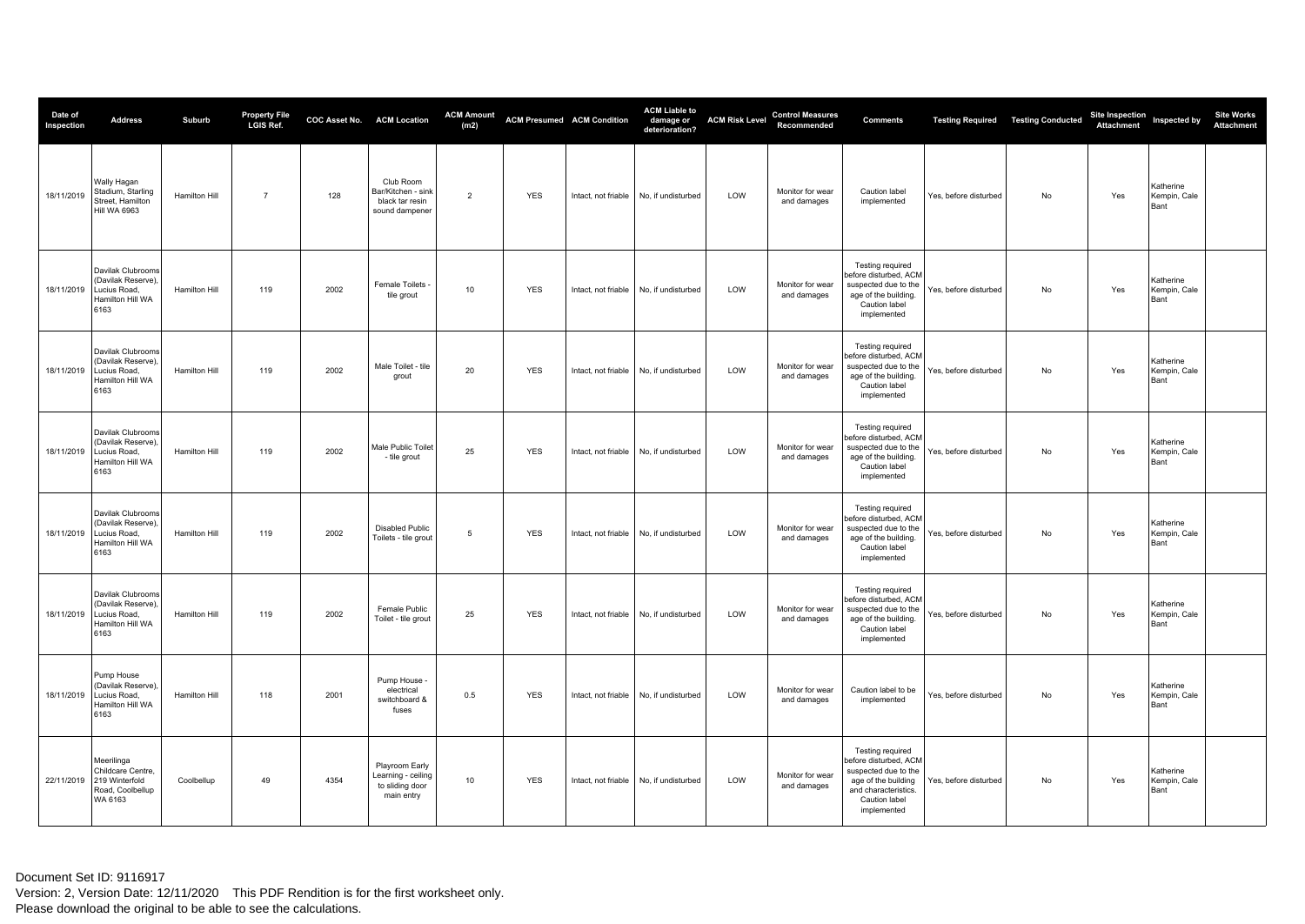| Date of<br>Inspection | <b>Address</b>                                                                      | Suburb               | <b>Property File</b><br>LGIS Ref. |      | COC Asset No. ACM Location                                            | <b>ACM Amount</b><br>(m2) |            | <b>ACM Presumed ACM Condition</b> | <b>ACM Liable to</b><br>damage or<br>deterioration? | <b>ACM Risk Level</b> | <b>Control Measures</b><br>Recommended | <b>Comments</b>                                                                                                                                  |                       | <b>Testing Required Testing Conducted</b> | Site Inspection<br>Attachment | Inspected by                      | <b>Site Works</b><br><b>Attachment</b> |
|-----------------------|-------------------------------------------------------------------------------------|----------------------|-----------------------------------|------|-----------------------------------------------------------------------|---------------------------|------------|-----------------------------------|-----------------------------------------------------|-----------------------|----------------------------------------|--------------------------------------------------------------------------------------------------------------------------------------------------|-----------------------|-------------------------------------------|-------------------------------|-----------------------------------|----------------------------------------|
| 18/11/2019            | Wally Hagan<br>Stadium, Starling<br>Street, Hamilton<br><b>Hill WA 6963</b>         | <b>Hamilton Hill</b> | $\overline{7}$                    | 128  | Club Room<br>Bar/Kitchen - sink<br>black tar resin<br>sound dampener  | $\overline{2}$            | <b>YES</b> | Intact, not friable               | No. if undisturbed                                  | LOW                   | Monitor for wear<br>and damages        | Caution label<br>implemented                                                                                                                     | Yes, before disturbed | <b>No</b>                                 | Yes                           | Katherine<br>Kempin, Cale<br>Bant |                                        |
| 18/11/2019            | Davilak Clubrooms<br>(Davilak Reserve),<br>Lucius Road,<br>Hamilton Hill WA<br>6163 | Hamilton Hill        | 119                               | 2002 | Female Toilets<br>tile grout                                          | 10                        | <b>YES</b> | Intact, not friable               | No, if undisturbed                                  | LOW                   | Monitor for wear<br>and damages        | Testing required<br>before disturbed, ACM<br>suspected due to the<br>age of the building.<br>Caution label<br>implemented                        | Yes, before disturbed | No                                        | Yes                           | Katherine<br>Kempin, Cale<br>Bant |                                        |
| 18/11/2019            | Davilak Clubrooms<br>(Davilak Reserve).<br>Lucius Road.<br>Hamilton Hill WA<br>6163 | <b>Hamilton Hill</b> | 119                               | 2002 | Male Toilet - tile<br>grout                                           | 20                        | <b>YES</b> | Intact, not friable               | No. if undisturbed                                  | LOW                   | Monitor for wear<br>and damages        | Testing required<br>before disturbed, ACM<br>suspected due to the<br>age of the building.<br>Caution label<br>implemented                        | Yes, before disturbed | <b>No</b>                                 | Yes                           | Katherine<br>Kempin, Cale<br>Bant |                                        |
| 18/11/2019            | Davilak Clubrooms<br>(Davilak Reserve).<br>Lucius Road,<br>Hamilton Hill WA<br>6163 | Hamilton Hill        | 119                               | 2002 | Male Public Toilet<br>- tile grout                                    | 25                        | <b>YES</b> | Intact, not friable               | No, if undisturbed                                  | LOW                   | Monitor for wear<br>and damages        | Testing required<br>before disturbed, ACM<br>suspected due to the<br>age of the building.<br>Caution label<br>implemented                        | Yes, before disturbed | No                                        | Yes                           | Katherine<br>Kempin, Cale<br>Bant |                                        |
| 18/11/2019            | Davilak Clubrooms<br>(Davilak Reserve),<br>Lucius Road,<br>Hamilton Hill WA<br>6163 | Hamilton Hill        | 119                               | 2002 | <b>Disabled Public</b><br>Toilets - tile grout                        | 5                         | <b>YES</b> | Intact, not friable               | No, if undisturbed                                  | LOW                   | Monitor for wear<br>and damages        | Testing required<br>before disturbed, ACM<br>suspected due to the<br>age of the building.<br>Caution label<br>implemented                        | Yes, before disturbed | No                                        | Yes                           | Katherine<br>Kempin, Cale<br>Bant |                                        |
| 18/11/2019            | Davilak Clubrooms<br>(Davilak Reserve).<br>Lucius Road,<br>Hamilton Hill WA<br>6163 | <b>Hamilton Hill</b> | 119                               | 2002 | Female Public<br>Toilet - tile grout                                  | 25                        | <b>YES</b> | Intact, not friable               | No, if undisturbed                                  | LOW                   | Monitor for wear<br>and damages        | Testing required<br>before disturbed, ACM<br>suspected due to the<br>age of the building.<br>Caution label<br>implemented                        | Yes, before disturbed | <b>No</b>                                 | Yes                           | Katherine<br>Kempin, Cale<br>Bant |                                        |
| 18/11/2019            | Pump House<br>(Davilak Reserve).<br>Lucius Road,<br>Hamilton Hill WA<br>6163        | Hamilton Hill        | 118                               | 2001 | Pump House<br>electrical<br>switchboard &<br>fuses                    | 0.5                       | <b>YES</b> | Intact, not friable               | No, if undisturbed                                  | LOW                   | Monitor for wear<br>and damages        | Caution label to be<br>implemented                                                                                                               | Yes, before disturbed | No                                        | Yes                           | Katherine<br>Kempin, Cale<br>Bant |                                        |
| 22/11/2019            | Meerilinga<br>Childcare Centre,<br>219 Winterfold<br>Road, Coolbellup<br>WA 6163    | Coolbellup           | 49                                | 4354 | Playroom Early<br>Learning - ceiling<br>to sliding door<br>main entry | 10                        | <b>YES</b> | Intact, not friable               | No, if undisturbed                                  | LOW                   | Monitor for wear<br>and damages        | Testing required<br>before disturbed, ACM<br>suspected due to the<br>age of the building<br>and characteristics.<br>Caution label<br>implemented | Yes, before disturbed | No                                        | Yes                           | Katherine<br>Kempin, Cale<br>Bant |                                        |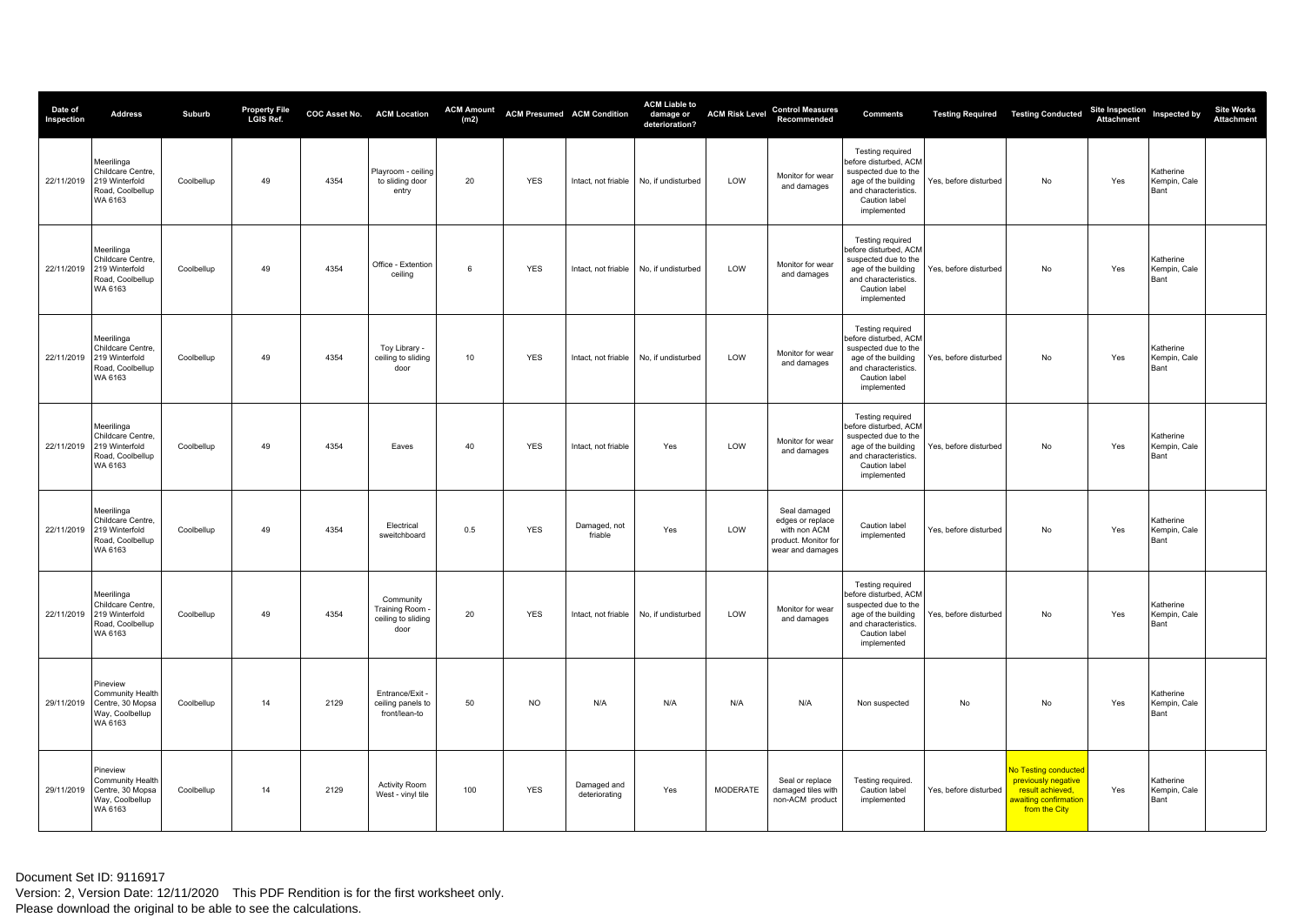| Date of<br>Inspection | <b>Address</b>                                                                   | Suburb     | Property File<br>LGIS Ref. |      | <b>COC Asset No. ACM Location</b>                               | <b>ACM Amount</b><br>(m2) |            | <b>ACM Presumed ACM Condition</b> | <b>ACM Liable to</b><br>damage or<br>deterioration? | <b>ACM Risk Level</b> | <b>Control Measures</b><br>Recommended                                                       | <b>Comments</b>                                                                                                                                         |                       | <b>Testing Required   Testing Conducted</b>                                                               | Site Inspection<br>Attachment | Inspected by                      | <b>Site Works</b><br><b>Attachment</b> |
|-----------------------|----------------------------------------------------------------------------------|------------|----------------------------|------|-----------------------------------------------------------------|---------------------------|------------|-----------------------------------|-----------------------------------------------------|-----------------------|----------------------------------------------------------------------------------------------|---------------------------------------------------------------------------------------------------------------------------------------------------------|-----------------------|-----------------------------------------------------------------------------------------------------------|-------------------------------|-----------------------------------|----------------------------------------|
| 22/11/2019            | Meerilinga<br>Childcare Centre,<br>219 Winterfold<br>Road, Coolbellup<br>WA 6163 | Coolbellup | 49                         | 4354 | Playroom - ceiling<br>to sliding door<br>entry                  | 20                        | <b>YES</b> | Intact, not friable               | No, if undisturbed                                  | LOW                   | Monitor for wear<br>and damages                                                              | Testing required<br>before disturbed, ACM<br>suspected due to the<br>age of the building<br>and characteristics.<br>Caution label<br>implemented        | Yes, before disturbed | No                                                                                                        | Yes                           | Katherine<br>Kempin, Cale<br>Bant |                                        |
| 22/11/2019            | Meerilinga<br>Childcare Centre,<br>219 Winterfold<br>Road, Coolbellup<br>WA 6163 | Coolbellup | 49                         | 4354 | Office - Extention<br>ceiling                                   | 6                         | <b>YES</b> | Intact, not friable               | No, if undisturbed                                  | LOW                   | Monitor for wear<br>and damages                                                              | <b>Testing required</b><br>before disturbed, ACM<br>suspected due to the<br>age of the building<br>and characteristics.<br>Caution label<br>implemented | Yes, before disturbed | No                                                                                                        | Yes                           | Katherine<br>Kempin, Cale<br>Bant |                                        |
| 22/11/2019            | Meerilinga<br>Childcare Centre,<br>219 Winterfold<br>Road, Coolbellup<br>WA 6163 | Coolbellup | 49                         | 4354 | Toy Library<br>ceiling to sliding<br>door                       | 10                        | <b>YES</b> | Intact, not friable               | No, if undisturbed                                  | LOW                   | Monitor for wear<br>and damages                                                              | Testing required<br>before disturbed, ACM<br>suspected due to the<br>age of the building<br>and characteristics.<br>Caution label<br>implemented        | Yes, before disturbed | No                                                                                                        | Yes                           | Katherine<br>Kempin, Cale<br>Bant |                                        |
| 22/11/2019            | Meerilinga<br>Childcare Centre,<br>219 Winterfold<br>Road, Coolbellup<br>WA 6163 | Coolbellup | 49                         | 4354 | Eaves                                                           | 40                        | <b>YES</b> | Intact, not friable               | Yes                                                 | LOW                   | Monitor for wear<br>and damages                                                              | Testing required<br>before disturbed, ACM<br>suspected due to the<br>age of the building<br>and characteristics.<br>Caution label<br>implemented        | Yes, before disturbed | No                                                                                                        | Yes                           | Katherine<br>Kempin, Cale<br>Bant |                                        |
| 22/11/2019            | Meerilinga<br>Childcare Centre,<br>219 Winterfold<br>Road, Coolbellup<br>WA 6163 | Coolbellup | 49                         | 4354 | Electrical<br>sweitchboard                                      | 0.5                       | <b>YES</b> | Damaged, not<br>friable           | Yes                                                 | LOW                   | Seal damaged<br>edges or replace<br>with non ACM<br>product. Monitor for<br>wear and damages | Caution label<br>implemented                                                                                                                            | Yes, before disturbed | No                                                                                                        | Yes                           | Katherine<br>Kempin, Cale<br>Bant |                                        |
| 22/11/2019            | Meerilinga<br>Childcare Centre,<br>219 Winterfold<br>Road, Coolbellup<br>WA 6163 | Coolbellup | 49                         | 4354 | Community<br><b>Training Room</b><br>ceiling to sliding<br>door | 20                        | <b>YES</b> | Intact, not friable               | No. if undisturbed                                  | LOW                   | Monitor for wear<br>and damages                                                              | Testing required<br>before disturbed, ACM<br>suspected due to the<br>age of the building<br>and characteristics.<br>Caution label<br>implemented        | Yes, before disturbed | <b>No</b>                                                                                                 | Yes                           | Katherine<br>Kempin, Cale<br>Bant |                                        |
| 29/11/2019            | Pineview<br>Community Health<br>Centre, 30 Mopsa<br>Way, Coolbellup<br>WA 6163   | Coolbellup | 14                         | 2129 | Entrance/Exit -<br>ceiling panels to<br>front/lean-to           | 50                        | NO         | N/A                               | N/A                                                 | N/A                   | N/A                                                                                          | Non suspected                                                                                                                                           | No                    | No                                                                                                        | Yes                           | Katherine<br>Kempin, Cale<br>Bant |                                        |
| 29/11/2019            | Pineview<br>Community Health<br>Centre, 30 Mopsa<br>Way, Coolbellup<br>WA 6163   | Coolbellup | 14                         | 2129 | <b>Activity Room</b><br>West - vinyl tile                       | 100                       | <b>YES</b> | Damaged and<br>deteriorating      | Yes                                                 | <b>MODERATE</b>       | Seal or replace<br>damaged tiles with<br>non-ACM product                                     | Testing required.<br>Caution label<br>implemented                                                                                                       | Yes, before disturbed | No Testing conducted<br>previously negative<br>result achieved,<br>awaiting confirmation<br>from the City | Yes                           | Katherine<br>Kempin, Cale<br>Bant |                                        |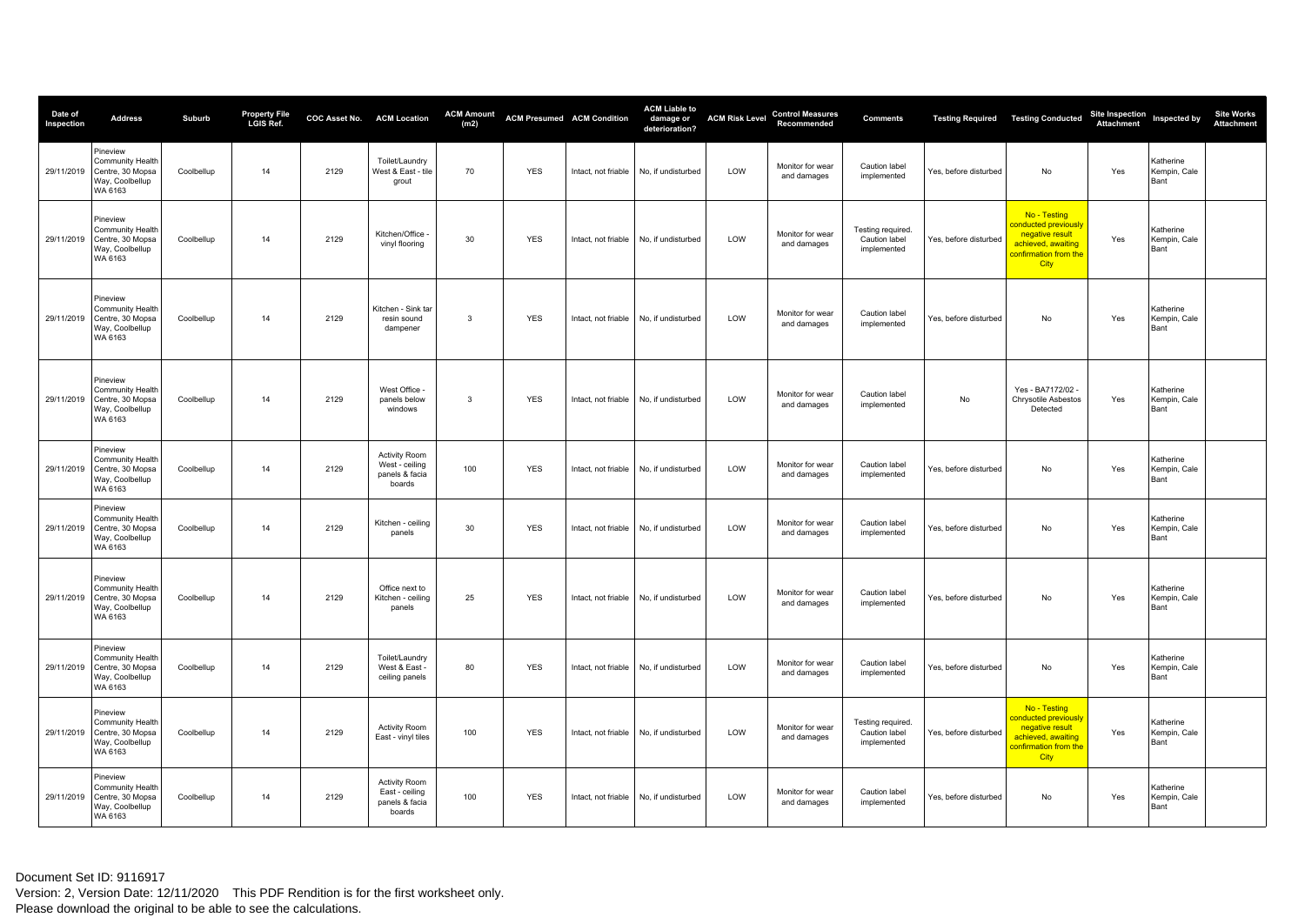| Date of<br>Inspection | <b>Address</b>                                                                            | Suburb     | Property File<br>LGIS Ref. |      | COC Asset No. ACM Location                                         | <b>ACM Amount</b><br>(m2) | <b>ACM Presumed ACM Condition</b> |                     | <b>ACM Liable to</b><br>damage or<br>deterioration? | <b>ACM Risk Level</b> | <b>Control Measures</b><br>Recommended | <b>Comments</b>                                   |                       | <b>Testing Required   Testing Conducted</b>                                                                           | Site Inspection<br>Attachment Inspected by |                                   | <b>Site Works</b><br><b>Attachment</b> |
|-----------------------|-------------------------------------------------------------------------------------------|------------|----------------------------|------|--------------------------------------------------------------------|---------------------------|-----------------------------------|---------------------|-----------------------------------------------------|-----------------------|----------------------------------------|---------------------------------------------------|-----------------------|-----------------------------------------------------------------------------------------------------------------------|--------------------------------------------|-----------------------------------|----------------------------------------|
| 29/11/2019            | Pineview<br>Community Health<br>Centre, 30 Mopsa<br>Way, Coolbellup<br>WA 6163            | Coolbellup | 14                         | 2129 | Toilet/Laundry<br>West & East - tile<br>grout                      | 70                        | <b>YES</b>                        | Intact, not friable | No, if undisturbed                                  | LOW                   | Monitor for wear<br>and damages        | Caution label<br>implemented                      | Yes, before disturbed | No                                                                                                                    | Yes                                        | Katherine<br>Kempin, Cale<br>Bant |                                        |
| 29/11/2019            | Pineview<br>Community Health<br>Centre, 30 Mopsa<br>Way, Coolbellup<br>WA 6163            | Coolbellup | 14                         | 2129 | Kitchen/Office<br>vinyl flooring                                   | 30                        | <b>YES</b>                        | Intact, not friable | No, if undisturbed                                  | LOW                   | Monitor for wear<br>and damages        | Testing required.<br>Caution label<br>implemented | Yes, before disturbed | No - Testing<br>conducted previously<br>negative result<br>achieved, awaiting<br>confirmation from the<br><b>City</b> | Yes                                        | Katherine<br>Kempin, Cale<br>Bant |                                        |
|                       | Pineview<br>Community Health<br>29/11/2019 Centre, 30 Mopsa<br>Way, Coolbellup<br>WA 6163 | Coolbellup | 14                         | 2129 | Kitchen - Sink tar<br>resin sound<br>dampener                      | 3                         | <b>YES</b>                        | Intact, not friable | No, if undisturbed                                  | LOW                   | Monitor for wear<br>and damages        | Caution label<br>implemented                      | Yes, before disturbed | No                                                                                                                    | Yes                                        | Katherine<br>Kempin, Cale<br>Bant |                                        |
| 29/11/2019            | Pineview<br>Community Health<br>Centre, 30 Mopsa<br>Way, Coolbellup<br>WA 6163            | Coolbellup | 14                         | 2129 | West Office -<br>panels below<br>windows                           | $\overline{\mathbf{3}}$   | <b>YES</b>                        | Intact, not friable | No, if undisturbed                                  | LOW                   | Monitor for wear<br>and damages        | Caution label<br>implemented                      | No                    | Yes - BA7172/02 -<br>Chrysotile Asbestos<br>Detected                                                                  | Yes                                        | Katherine<br>Kempin, Cale<br>Bant |                                        |
| 29/11/2019            | Pineview<br>Community Health<br>Centre, 30 Mopsa<br>Way, Coolbellup<br>WA 6163            | Coolbellup | 14                         | 2129 | <b>Activity Room</b><br>West - ceiling<br>panels & facia<br>boards | 100                       | <b>YES</b>                        | Intact, not friable | No, if undisturbed                                  | LOW                   | Monitor for wear<br>and damages        | Caution label<br>implemented                      | Yes, before disturbed | No                                                                                                                    | Yes                                        | Katherine<br>Kempin, Cale<br>Bant |                                        |
| 29/11/2019            | Pineview<br>Community Health<br>Centre, 30 Mopsa<br>Way, Coolbellup<br>WA 6163            | Coolbellup | 14                         | 2129 | Kitchen - ceiling<br>panels                                        | 30                        | <b>YES</b>                        | Intact, not friable | No, if undisturbed                                  | LOW                   | Monitor for wear<br>and damages        | Caution label<br>implemented                      | Yes, before disturbed | No                                                                                                                    | Yes                                        | Katherine<br>Kempin, Cale<br>Bant |                                        |
| 29/11/2019            | Pineview<br>Community Health<br>Centre, 30 Mopsa<br>Way, Coolbellup<br>WA 6163            | Coolbellup | 14                         | 2129 | Office next to<br>Kitchen - ceiling<br>panels                      | 25                        | <b>YES</b>                        | Intact, not friable | No, if undisturbed                                  | LOW                   | Monitor for wear<br>and damages        | Caution label<br>implemented                      | Yes, before disturbed | No                                                                                                                    | Yes                                        | Katherine<br>Kempin, Cale<br>Bant |                                        |
| 29/11/2019            | Pineview<br>Community Health<br>Centre, 30 Mopsa<br>Way, Coolbellup<br>WA 6163            | Coolbellup | 14                         | 2129 | Toilet/Laundrv<br>West & East<br>ceiling panels                    | 80                        | <b>YES</b>                        | Intact, not friable | No, if undisturbed                                  | LOW                   | Monitor for wear<br>and damages        | Caution label<br>implemented                      | Yes, before disturbed | No                                                                                                                    | Yes                                        | Katherine<br>Kempin, Cale<br>Bant |                                        |
| 29/11/2019            | Pineview<br>Community Health<br>Centre, 30 Mopsa<br>Way, Coolbellup<br>WA 6163            | Coolbellup | 14                         | 2129 | <b>Activity Room</b><br>East - vinyl tiles                         | 100                       | <b>YES</b>                        | Intact, not friable | No, if undisturbed                                  | LOW                   | Monitor for wear<br>and damages        | Testing required.<br>Caution label<br>implemented | Yes, before disturbed | No - Testing<br>conducted previously<br>negative result<br>achieved, awaiting<br>confirmation from the<br><b>City</b> | Yes                                        | Katherine<br>Kempin, Cale<br>Bant |                                        |
| 29/11/2019            | Pineview<br>Community Health<br>Centre, 30 Mopsa<br>Way, Coolbellup<br>WA 6163            | Coolbellup | 14                         | 2129 | <b>Activity Room</b><br>East - ceiling<br>panels & facia<br>boards | 100                       | <b>YES</b>                        |                     | Intact, not friable   No, if undisturbed            | LOW                   | Monitor for wear<br>and damages        | Caution label<br>implemented                      | Yes, before disturbed | No                                                                                                                    | Yes                                        | Katherine<br>Kempin, Cale<br>Bant |                                        |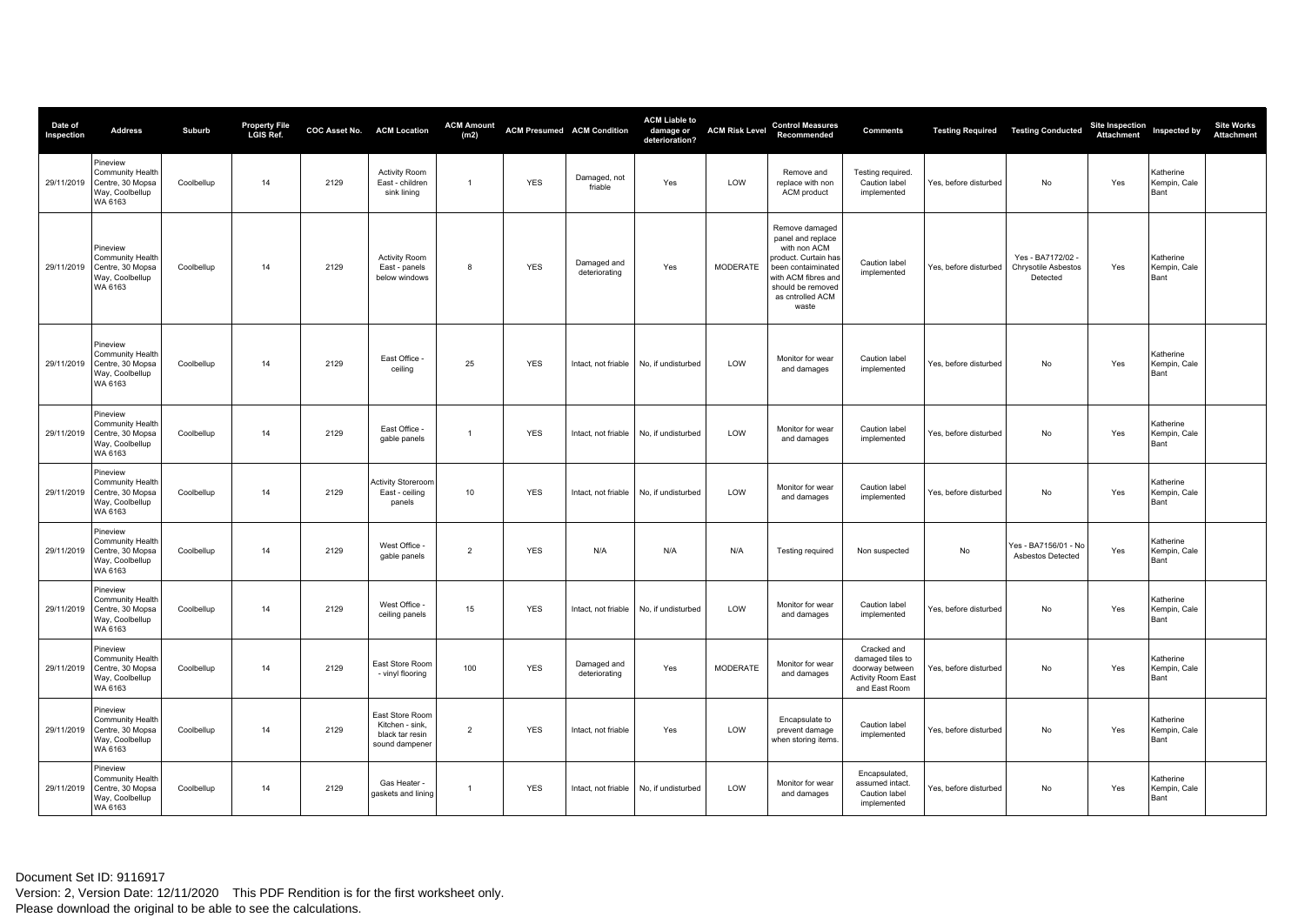| Date of<br>Inspection | <b>Address</b>                                                                 | Suburb     | Property File<br>LGIS Ref. |      | COC Asset No. ACM Location                                              | <b>ACM Amount</b><br>(m2) |            | <b>ACM Presumed ACM Condition</b> | <b>ACM Liable to</b><br>damage or<br>deterioration? | <b>ACM Risk Level</b> | <b>Control Measures</b><br>Recommended                                                                                                                                     | <b>Comments</b>                                                                                  | <b>Testing Required</b> | <b>Testing Conducted</b>                           | Site Inspection Inspected by<br><b>Attachment</b> |                                   | <b>Site Works</b><br><b>Attachment</b> |
|-----------------------|--------------------------------------------------------------------------------|------------|----------------------------|------|-------------------------------------------------------------------------|---------------------------|------------|-----------------------------------|-----------------------------------------------------|-----------------------|----------------------------------------------------------------------------------------------------------------------------------------------------------------------------|--------------------------------------------------------------------------------------------------|-------------------------|----------------------------------------------------|---------------------------------------------------|-----------------------------------|----------------------------------------|
| 29/11/2019            | Pineview<br>Community Health<br>Centre, 30 Mopsa<br>Way, Coolbellup<br>WA 6163 | Coolbellup | 14                         | 2129 | <b>Activity Room</b><br>East - children<br>sink lining                  | $\overline{1}$            | <b>YES</b> | Damaged, not<br>friable           | Yes                                                 | LOW                   | Remove and<br>replace with non<br>ACM product                                                                                                                              | <b>Testing required</b><br>Caution label<br>implemented                                          | Yes, before disturbed   | <b>No</b>                                          | Yes                                               | Katherine<br>Kempin, Cale<br>Bant |                                        |
| 29/11/2019            | Pineview<br>Community Health<br>Centre, 30 Mopsa<br>Way, Coolbellup<br>WA 6163 | Coolbellup | 14                         | 2129 | <b>Activity Room</b><br>East - panels<br>below windows                  | 8                         | <b>YES</b> | Damaged and<br>deteriorating      | Yes                                                 | <b>MODERATE</b>       | Remove damaged<br>panel and replace<br>with non ACM<br>product. Curtain has<br>been contaiminated<br>with ACM fibres and<br>should be removed<br>as cntrolled ACM<br>waste | Caution label<br>implemented                                                                     | Yes, before disturbed   | Yes - BA7172/02<br>Chrysotile Asbestos<br>Detected | Yes                                               | Katherine<br>Kempin, Cale<br>Bant |                                        |
| 29/11/2019            | Pineview<br>Community Health<br>Centre, 30 Mopsa<br>Way, Coolbellup<br>WA 6163 | Coolbellup | 14                         | 2129 | East Office<br>ceiling                                                  | 25                        | <b>YES</b> | Intact, not friable               | No, if undisturbed                                  | LOW                   | Monitor for wear<br>and damages                                                                                                                                            | Caution label<br>implemented                                                                     | Yes, before disturbed   | No                                                 | Yes                                               | Katherine<br>Kempin, Cale<br>Bant |                                        |
| 29/11/2019            | Pineview<br>Community Health<br>Centre, 30 Mopsa<br>Way, Coolbellup<br>WA 6163 | Coolbellup | 14                         | 2129 | East Office -<br>gable panels                                           | $\overline{1}$            | <b>YES</b> | Intact, not friable               | No, if undisturbed                                  | LOW                   | Monitor for wear<br>and damages                                                                                                                                            | Caution label<br>implemented                                                                     | Yes, before disturbed   | No                                                 | Yes                                               | Katherine<br>Kempin, Cale<br>Bant |                                        |
| 29/11/2019            | Pineview<br>Community Health<br>Centre, 30 Mopsa<br>Way, Coolbellup<br>WA 6163 | Coolbellup | 14                         | 2129 | <b>Activity Storeroom</b><br>East - ceiling<br>panels                   | 10                        | <b>YES</b> | Intact, not friable               | No, if undisturbed                                  | LOW                   | Monitor for wear<br>and damages                                                                                                                                            | Caution label<br>implemented                                                                     | Yes, before disturbed   | <b>No</b>                                          | Yes                                               | Katherine<br>Kempin, Cale<br>Bant |                                        |
| 29/11/2019            | Pineview<br>Community Health<br>Centre, 30 Mopsa<br>Way, Coolbellup<br>WA 6163 | Coolbellup | 14                         | 2129 | West Office<br>gable panels                                             | $\overline{2}$            | <b>YES</b> | N/A                               | N/A                                                 | N/A                   | Testing required                                                                                                                                                           | Non suspected                                                                                    | No                      | Yes - BA7156/01 - No<br>Asbestos Detected          | Yes                                               | Katherine<br>Kempin, Cale<br>Bant |                                        |
| 29/11/2019            | Pineview<br>Community Health<br>Centre, 30 Mopsa<br>Way, Coolbellup<br>WA 6163 | Coolbellup | 14                         | 2129 | West Office<br>ceiling panels                                           | 15                        | <b>YES</b> | Intact, not friable               | No, if undisturbed                                  | LOW                   | Monitor for wear<br>and damages                                                                                                                                            | Caution label<br>implemented                                                                     | Yes, before disturbed   | No                                                 | Yes                                               | Katherine<br>Kempin, Cale<br>Bant |                                        |
| 29/11/2019            | Pineview<br>Community Health<br>Centre, 30 Mopsa<br>Way, Coolbellup<br>WA 6163 | Coolbellup | 14                         | 2129 | East Store Room<br>- vinyl flooring                                     | 100                       | <b>YES</b> | Damaged and<br>deteriorating      | Yes                                                 | <b>MODERATE</b>       | Monitor for wear<br>and damages                                                                                                                                            | Cracked and<br>damaged tiles to<br>doorway between<br><b>Activity Room East</b><br>and East Room | Yes, before disturbed   | No                                                 | Yes                                               | Katherine<br>Kempin, Cale<br>Bant |                                        |
| 29/11/2019            | Pineview<br>Community Health<br>Centre, 30 Mopsa<br>Way, Coolbellup<br>WA 6163 | Coolbellup | 14                         | 2129 | East Store Room<br>Kitchen - sink,<br>black tar resin<br>sound dampener | $\overline{2}$            | <b>YES</b> | Intact, not friable               | Yes                                                 | LOW                   | Encapsulate to<br>prevent damage<br>when storing items.                                                                                                                    | Caution label<br>implemented                                                                     | Yes, before disturbed   | No                                                 | Yes                                               | Katherine<br>Kempin, Cale<br>Bant |                                        |
| 29/11/2019            | Pineview<br>Community Health<br>Centre, 30 Mopsa<br>Way, Coolbellup<br>WA 6163 | Coolbellup | 14                         | 2129 | Gas Heater -<br>gaskets and lining                                      | $\overline{1}$            | <b>YES</b> | Intact, not friable               | No, if undisturbed                                  | LOW                   | Monitor for wear<br>and damages                                                                                                                                            | Encapsulated.<br>assumed intact.<br>Caution label<br>implemented                                 | Yes, before disturbed   | No                                                 | Yes                                               | Katherine<br>Kempin, Cale<br>Bant |                                        |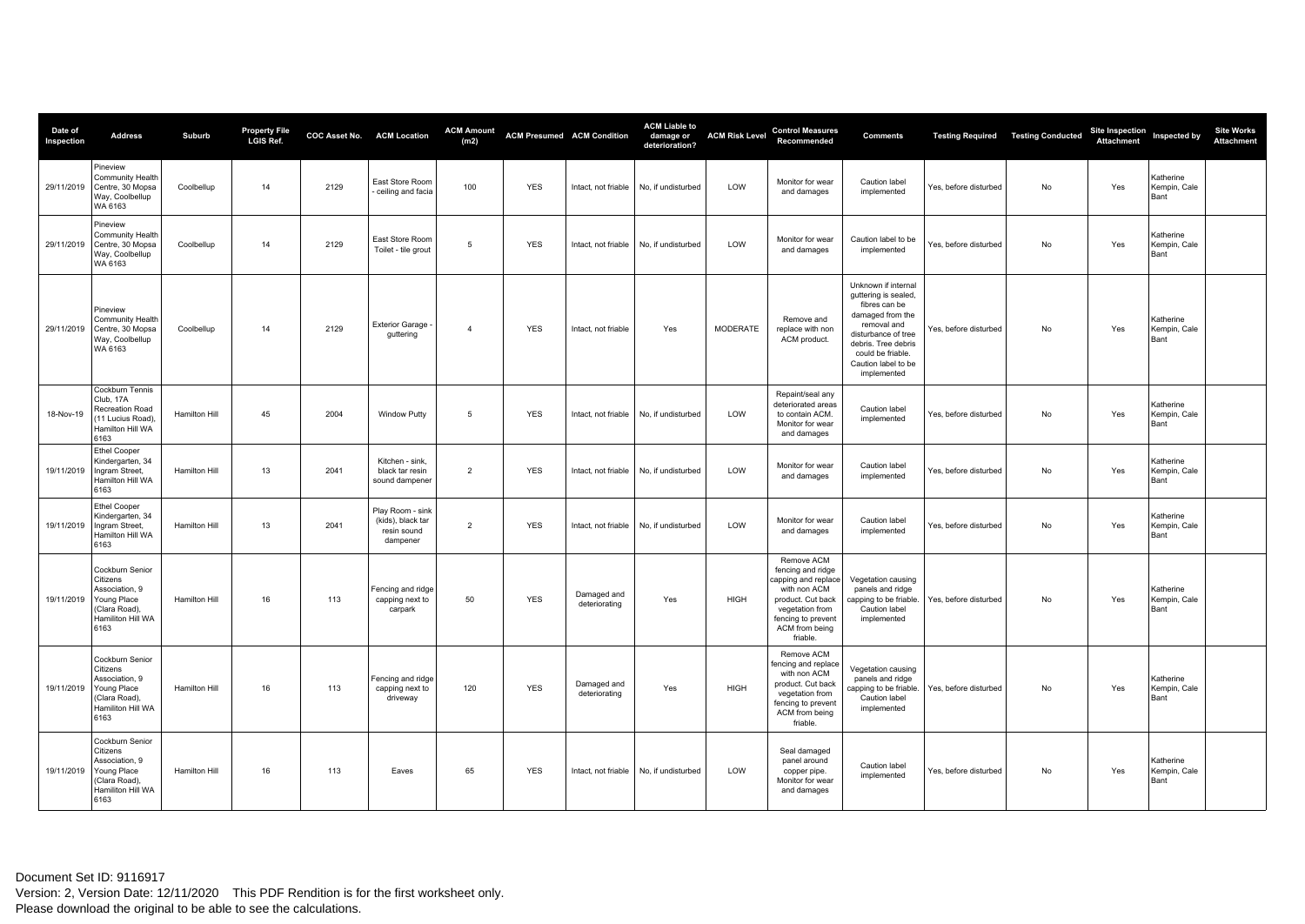| Date of<br>Inspection | <b>Address</b>                                                                                             | Suburb        | <b>Property File</b><br>LGIS Ref. |      | COC Asset No. ACM Location                                       | <b>ACM Amount</b><br>(m2) |            | <b>ACM Presumed ACM Condition</b> | <b>ACM Liable to</b><br>damage or<br>deterioration? | <b>ACM Risk Level</b> | <b>Control Measures</b><br>Recommended                                                                                                                             | <b>Comments</b>                                                                                                                                                                                          |                       | <b>Testing Required   Testing Conducted</b> | <b>Site Inspection</b><br>Attachment | Inspected by                      | <b>Site Works</b><br><b>Attachment</b> |
|-----------------------|------------------------------------------------------------------------------------------------------------|---------------|-----------------------------------|------|------------------------------------------------------------------|---------------------------|------------|-----------------------------------|-----------------------------------------------------|-----------------------|--------------------------------------------------------------------------------------------------------------------------------------------------------------------|----------------------------------------------------------------------------------------------------------------------------------------------------------------------------------------------------------|-----------------------|---------------------------------------------|--------------------------------------|-----------------------------------|----------------------------------------|
| 29/11/2019            | Pineview<br>Community Health<br>Centre, 30 Mopsa<br>Way, Coolbellup<br>WA 6163                             | Coolbellup    | 14                                | 2129 | East Store Room<br>ceiling and facia                             | 100                       | <b>YES</b> | Intact, not friable               | No. if undisturbed                                  | LOW                   | Monitor for wear<br>and damages                                                                                                                                    | Caution label<br>implemented                                                                                                                                                                             | Yes, before disturbed | <b>No</b>                                   | Yes                                  | Katherine<br>Kempin, Cale<br>Bant |                                        |
| 29/11/2019            | Pineview<br>Community Health<br>Centre, 30 Mopsa<br>Way, Coolbellup<br>WA 6163                             | Coolbellup    | 14                                | 2129 | East Store Room<br>Toilet - tile grout                           | 5                         | <b>YES</b> | Intact, not friable               | No, if undisturbed                                  | LOW                   | Monitor for wear<br>and damages                                                                                                                                    | Caution label to be<br>implemented                                                                                                                                                                       | Yes, before disturbed | No                                          | Yes                                  | Katherine<br>Kempin, Cale<br>Bant |                                        |
| 29/11/2019            | <sup>2</sup> ineview<br>Community Health<br>Centre, 30 Mopsa<br>Way, Coolbellup<br>WA 6163                 | Coolbellup    | 14                                | 2129 | <b>Exterior Garage</b><br>guttering                              | $\overline{4}$            | <b>YES</b> | Intact, not friable               | Yes                                                 | <b>MODERATE</b>       | Remove and<br>replace with non<br>ACM product.                                                                                                                     | Unknown if internal<br>guttering is sealed.<br>fibres can be<br>damaged from the<br>removal and<br>disturbance of tree<br>debris. Tree debris<br>could be friable.<br>Caution label to be<br>implemented | Yes, before disturbed | No                                          | Yes                                  | Katherine<br>Kempin, Cale<br>Bant |                                        |
| 18-Nov-19             | Cockburn Tennis<br>Club, 17A<br>Recreation Road<br>11 Lucius Road).<br>Hamilton Hill WA<br>6163            | Hamilton Hill | 45                                | 2004 | <b>Window Putty</b>                                              | 5                         | <b>YES</b> | Intact, not friable               | No. if undisturbed                                  | LOW                   | Repaint/seal any<br>deteriorated areas<br>to contain ACM.<br>Monitor for wear<br>and damages                                                                       | Caution label<br>implemented                                                                                                                                                                             | Yes, before disturbed | <b>No</b>                                   | Yes                                  | Katherine<br>Kempin, Cale<br>Bant |                                        |
| 19/11/2019            | Ethel Cooper<br>Kindergarten, 34<br>Ingram Street,<br>Hamilton Hill WA<br>6163                             | Hamilton Hill | 13                                | 2041 | Kitchen - sink.<br>black tar resin<br>sound dampener             | $\overline{2}$            | <b>YES</b> | Intact, not friable               | No, if undisturbed                                  | LOW                   | Monitor for wear<br>and damages                                                                                                                                    | Caution label<br>implemented                                                                                                                                                                             | Yes, before disturbed | No                                          | Yes                                  | Katherine<br>Kempin, Cale<br>Bant |                                        |
| 19/11/2019            | <b>Ethel Cooper</b><br>Kindergarten, 34<br>Ingram Street,<br>Hamilton Hill WA<br>6163                      | Hamilton Hill | 13                                | 2041 | Play Room - sink<br>(kids), black tar<br>resin sound<br>dampener | $\overline{2}$            | <b>YES</b> | Intact, not friable               | No, if undisturbed                                  | LOW                   | Monitor for wear<br>and damages                                                                                                                                    | Caution label<br>implemented                                                                                                                                                                             | Yes, before disturbed | No                                          | Yes                                  | Katherine<br>Kempin, Cale<br>Bant |                                        |
| 19/11/2019            | Cockburn Senior<br>Citizens<br>Association, 9<br>Young Place<br>(Clara Road),<br>Hamiliton Hill WA<br>6163 | Hamilton Hill | 16                                | 113  | Fencing and ridge<br>capping next to<br>carpark                  | 50                        | <b>YES</b> | Damaged and<br>deteriorating      | Yes                                                 | <b>HIGH</b>           | Remove ACM<br>fencing and ridge<br>capping and replace<br>with non ACM<br>product. Cut back<br>vegetation from<br>fencing to prevent<br>ACM from being<br>friable. | Vegetation causing<br>panels and ridge<br>capping to be friable.<br>Caution label<br>implemented                                                                                                         | Yes, before disturbed | <b>No</b>                                   | Yes                                  | Katherine<br>Kempin, Cale<br>Bant |                                        |
| 19/11/2019            | Cockburn Senior<br>Citizens<br>Association, 9<br>Young Place<br>Clara Road),<br>Hamiliton Hill WA<br>6163  | Hamilton Hill | 16                                | 113  | Fencing and ridge<br>capping next to<br>driveway                 | 120                       | <b>YES</b> | Damaged and<br>deteriorating      | Yes                                                 | <b>HIGH</b>           | Remove ACM<br>encing and replace<br>with non ACM<br>product. Cut back<br>vegetation from<br>fencing to prevent<br>ACM from being<br>friable.                       | Vegetation causing<br>panels and ridge<br>capping to be friable.<br>Caution label<br>implemented                                                                                                         | Yes, before disturbed | No                                          | Yes                                  | Katherine<br>Kempin, Cale<br>Bant |                                        |
| 19/11/2019            | Cockburn Senior<br>Citizens<br>Association, 9<br>Young Place<br>Clara Road),<br>Hamiliton Hill WA<br>6163  | Hamilton Hill | 16                                | 113  | Eaves                                                            | 65                        | <b>YES</b> | Intact, not friable               | No, if undisturbed                                  | LOW                   | Seal damaged<br>panel around<br>copper pipe.<br>Monitor for wear<br>and damages                                                                                    | Caution label<br>implemented                                                                                                                                                                             | Yes, before disturbed | No                                          | Yes                                  | Katherine<br>Kempin, Cale<br>Bant |                                        |